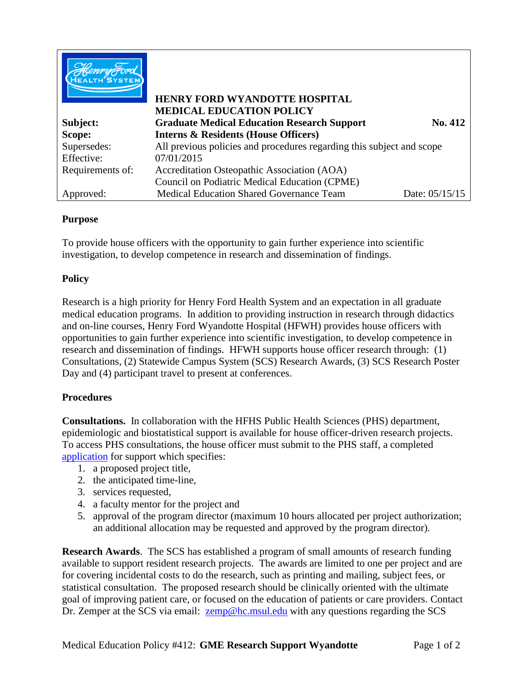|                  | <b>HENRY FORD WYANDOTTE HOSPITAL</b><br><b>MEDICAL EDUCATION POLICY</b> |                |
|------------------|-------------------------------------------------------------------------|----------------|
| Subject:         | <b>Graduate Medical Education Research Support</b>                      | No. 412        |
| Scope:           | <b>Interns &amp; Residents (House Officers)</b>                         |                |
| Supersedes:      | All previous policies and procedures regarding this subject and scope   |                |
| Effective:       | 07/01/2015                                                              |                |
| Requirements of: | Accreditation Osteopathic Association (AOA)                             |                |
|                  | Council on Podiatric Medical Education (CPME)                           |                |
| Approved:        | <b>Medical Education Shared Governance Team</b>                         | Date: 05/15/15 |

## **Purpose**

To provide house officers with the opportunity to gain further experience into scientific investigation, to develop competence in research and dissemination of findings.

## **Policy**

Research is a high priority for Henry Ford Health System and an expectation in all graduate medical education programs. In addition to providing instruction in research through didactics and on-line courses, Henry Ford Wyandotte Hospital (HFWH) provides house officers with opportunities to gain further experience into scientific investigation, to develop competence in research and dissemination of findings. HFWH supports house officer research through: (1) Consultations, (2) Statewide Campus System (SCS) Research Awards, (3) SCS Research Poster Day and (4) participant travel to present at conferences.

## **Procedures**

**Consultations.** In collaboration with the HFHS Public Health Sciences (PHS) department, epidemiologic and biostatistical support is available for house officer-driven research projects. To access PHS consultations, the house officer must submit to the PHS staff, a completed application for support which specifies:

- 1. a proposed project title,
- 2. the anticipated time-line,
- 3. services requested,
- 4. a faculty mentor for the project and
- 5. approval of the program director (maximum 10 hours allocated per project authorization; an additional allocation may be requested and approved by the program director).

**Research Awards**. The SCS has established a program of small amounts of research funding available to support resident research projects. The awards are limited to one per project and are for covering incidental costs to do the research, such as printing and mailing, subject fees, or statistical consultation. The proposed research should be clinically oriented with the ultimate goal of improving patient care, or focused on the education of patients or care providers. Contact Dr. Zemper at the SCS via email: [zemp@hc.msul.edu](mailto:zemp@hc.msul.edu) with any questions regarding the SCS